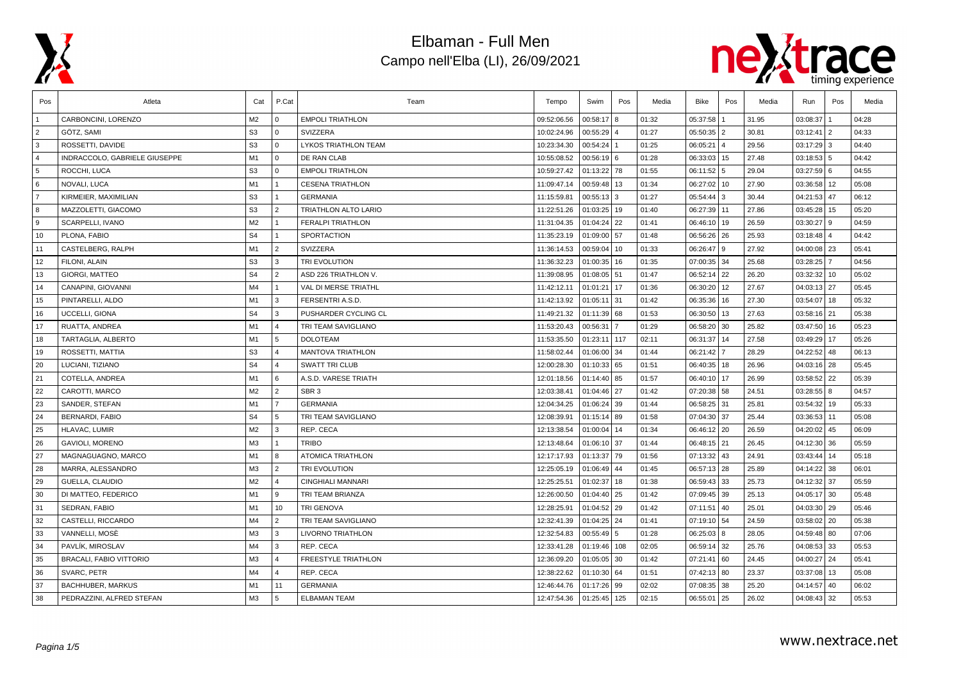



| Pos            | Atleta                        | Cat            | P.Cat          | Team                        | Tempo       | Swim          | Pos | Media | Bike          | Pos | Media | Run           | Pos            | Media |
|----------------|-------------------------------|----------------|----------------|-----------------------------|-------------|---------------|-----|-------|---------------|-----|-------|---------------|----------------|-------|
|                | CARBONCINI, LORENZO           | M2             | $\overline{0}$ | <b>EMPOLI TRIATHLON</b>     | 09:52:06.56 | 00:58:17      | 8   | 01:32 | 05:37:58      |     | 31.95 | 03:08:37      |                | 04:28 |
| $\overline{2}$ | GÖTZ, SAMI                    | S <sub>3</sub> | l 0            | SVIZZERA                    | 10:02:24.96 | 00:55:29      |     | 01:27 | 05:50:35 2    |     | 30.81 | 03:12:41      | 2              | 04:33 |
| 3              | ROSSETTI, DAVIDE              | S <sub>3</sub> | $\overline{0}$ | <b>LYKOS TRIATHLON TEAM</b> | 10:23:34.30 | 00:54:24      |     | 01:25 | 06:05:21      |     | 29.56 | 03:17:29      | l 3            | 04:40 |
| $\overline{4}$ | INDRACCOLO, GABRIELE GIUSEPPE | M1             | $\mathbf{0}$   | DE RAN CLAB                 | 10:55:08.52 | 00:56:19 6    |     | 01:28 | 06:33:03 15   |     | 27.48 | 03:18:53      | 5              | 04:42 |
| 5              | ROCCHI, LUCA                  | S <sub>3</sub> | $\overline{0}$ | <b>EMPOLI TRIATHLON</b>     | 10:59:27.42 | 01:13:22      | 78  | 01:55 | 06:11:52 5    |     | 29.04 | 03:27:59      | 6              | 04:55 |
| 6              | NOVALI, LUCA                  | M1             | $\overline{1}$ | <b>CESENA TRIATHLON</b>     | 11:09:47.14 | 00:59:48      | 13  | 01:34 | 06:27:02 10   |     | 27.90 | 03:36:58      | 12             | 05:08 |
| $\overline{7}$ | KIRMEIER, MAXIMILIAN          | S <sub>3</sub> | $\vert$ 1      | <b>GERMANIA</b>             | 11:15:59.81 | $00:55:13$ 3  |     | 01:27 | 05:54:44 3    |     | 30.44 | 04:21:53      | 47             | 06:12 |
| 8              | MAZZOLETTI, GIACOMO           | S <sub>3</sub> | $\sqrt{2}$     | <b>TRIATHLON ALTO LARIO</b> | 11:22:51.26 | 01:03:25      | 19  | 01:40 | 06:27:39 11   |     | 27.86 | 03:45:28      | 15             | 05:20 |
| 9              | SCARPELLI, IVANO              | M <sub>2</sub> | $\overline{1}$ | <b>FERALPI TRIATHLON</b>    | 11:31:04.35 | 01:04:24      | 22  | 01:41 | 06:46:10 19   |     | 26.59 | 03:30:27      | 9              | 04:59 |
| 10             | PLONA, FABIO                  | S <sub>4</sub> | $\overline{1}$ | SPORTACTION                 | 11:35:23.19 | 01:09:00      | 57  | 01:48 | 06:56:26 26   |     | 25.93 | 03:18:48      | $\overline{4}$ | 04:42 |
| 11             | CASTELBERG. RALPH             | M <sub>1</sub> | $\overline{2}$ | SVIZZERA                    | 11:36:14.53 | 00:59:04      | 10  | 01:33 | 06:26:47 9    |     | 27.92 | 04:00:08      | 23             | 05:41 |
| 12             | FILONI, ALAIN                 | S <sub>3</sub> | l 3            | TRI EVOLUTION               | 11:36:32.23 | 01:00:35      | 16  | 01:35 | 07:00:35 34   |     | 25.68 | 03:28:25      | $\overline{7}$ | 04:56 |
| 13             | <b>GIORGI, MATTEO</b>         | S <sub>4</sub> | $\overline{2}$ | ASD 226 TRIATHLON V.        | 11:39:08.95 | 01:08:05      | 51  | 01:47 | 06:52:14 22   |     | 26.20 | 03:32:32      | 10             | 05:02 |
| 14             | CANAPINI, GIOVANNI            | M4             | $\overline{1}$ | VAL DI MERSE TRIATHL        | 11:42:12.11 | 01:01:21      | 17  | 01:36 | 06:30:20      | 12  | 27.67 | 04:03:13      | 27             | 05:45 |
| 15             | PINTARELLI, ALDO              | M <sub>1</sub> | l 3            | FERSENTRI A.S.D             | 11:42:13.92 | 01:05:11      | 31  | 01:42 | 06:35:36      | 16  | 27.30 | 03:54:07      | 18             | 05:32 |
| 16             | UCCELLI, GIONA                | S <sub>4</sub> | l 3            | PUSHARDER CYCLING CL        | 11:49:21.32 | $01:11:39$ 68 |     | 01:53 | 06:30:50 13   |     | 27.63 | 03:58:16      | 21             | 05:38 |
| 17             | RUATTA, ANDREA                | M <sub>1</sub> | $\overline{4}$ | TRI TEAM SAVIGLIANO         | 11:53:20.43 | 00:56:31      | 7   | 01:29 | 06:58:20 30   |     | 25.82 | 03:47:50      | 16             | 05:23 |
| 18             | TARTAGLIA, ALBERTO            | M <sub>1</sub> | 5              | <b>DOLOTEAM</b>             | 11:53:35.50 | 01:23:11      | 117 | 02:11 | 06:31:37 14   |     | 27.58 | 03:49:29      | 17             | 05:26 |
| 19             | ROSSETTI, MATTIA              | S <sub>3</sub> | $\overline{4}$ | <b>MANTOVA TRIATHLON</b>    | 11:58:02.44 | 01:06:00      | 34  | 01:44 | 06:21:42      |     | 28.29 | 04:22:52      | 48             | 06:13 |
| 20             | LUCIANI, TIZIANO              | S <sub>4</sub> | $\overline{4}$ | <b>SWATT TRI CLUB</b>       | 12:00:28.30 | 01:10:33 65   |     | 01:51 | 06:40:35 18   |     | 26.96 | 04:03:16      | 28             | 05:45 |
| 21             | COTELLA, ANDREA               | M <sub>1</sub> | 6              | A.S.D. VARESE TRIATH        | 12:01:18.56 | 01:14:40 85   |     | 01:57 | 06:40:10 17   |     | 26.99 | 03:58:52      | 22             | 05:39 |
| 22             | CAROTTI, MARCO                | M2             | $\overline{2}$ | SBR <sub>3</sub>            | 12:03:38.41 | 01:04:46      | 27  | 01:42 | 07:20:38 58   |     | 24.51 | 03:28:55      | 8              | 04:57 |
| 23             | SANDER, STEFAN                | M <sub>1</sub> | $\overline{7}$ | <b>GERMANIA</b>             | 12:04:34.25 | 01:06:24      | 39  | 01:44 | 06:58:25 31   |     | 25.81 | 03:54:32      | 19             | 05:33 |
| 24             | <b>BERNARDI, FABIO</b>        | S <sub>4</sub> | 5              | TRI TEAM SAVIGLIANO         | 12:08:39.91 | 01:15:14 89   |     | 01:58 | 07:04:30 37   |     | 25.44 | 03:36:53      | 11             | 05:08 |
| 25             | HLAVAC, LUMIR                 | M2             | l 3            | REP. CECA                   | 12:13:38.54 | 01:00:04      | 14  | 01:34 | 06:46:12   20 |     | 26.59 | 04:20:02      | 45             | 06:09 |
| 26             | GAVIOLI, MORENO               | M3             | $\overline{1}$ | <b>TRIBO</b>                | 12:13:48.64 | 01:06:10 37   |     | 01:44 | 06:48:15 21   |     | 26.45 | 04:12:30      | 36             | 05:59 |
| 27             | MAGNAGUAGNO, MARCO            | M1             | 8              | ATOMICA TRIATHLON           | 12:17:17.93 | 01:13:37      | 79  | 01:56 | 07:13:32 43   |     | 24.91 | 03:43:44      | 14             | 05:18 |
| 28             | MARRA, ALESSANDRO             | M3             | $\sqrt{2}$     | TRI EVOLUTION               | 12:25:05.19 | 01:06:49      | 44  | 01:45 | 06:57:13 28   |     | 25.89 | 04:14:22      | 38             | 06:01 |
| 29             | GUELLA, CLAUDIO               | M2             | $\overline{4}$ | <b>CINGHIALI MANNARI</b>    | 12:25:25.51 | 01:02:37      | 18  | 01:38 | 06:59:43 33   |     | 25.73 | 04:12:32      | 37             | 05:59 |
| 30             | DI MATTEO, FEDERICO           | M <sub>1</sub> | l 9            | TRI TEAM BRIANZA            | 12:26:00.50 | 01:04:40      | 25  | 01:42 | 07:09:45 39   |     | 25.13 | 04:05:17      | 30             | 05:48 |
| 31             | SEDRAN, FABIO                 | M1             | 10             | <b>TRI GENOVA</b>           | 12:28:25.91 | 01:04:52      | 29  | 01:42 | 07:11:51      | 40  | 25.01 | 04:03:30      | 29             | 05:46 |
| 32             | CASTELLI, RICCARDO            | M4             | $\overline{2}$ | TRI TEAM SAVIGLIANO         | 12:32:41.39 | 01:04:25      | 24  | 01:41 | 07:19:10 54   |     | 24.59 | 03:58:02      | 20             | 05:38 |
| 33             | VANNELLI, MOSĖ                | M3             | 3              | LIVORNO TRIATHLON           | 12:32:54.83 | 00:55:49      | 5   | 01:28 | 06:25:03 8    |     | 28.05 | 04:59:48      | 80             | 07:06 |
| 34             | PAVLÍK. MIROSLAV              | M4             | l 3            | REP. CECA                   | 12:33:41.28 | 01:19:46      | 108 | 02:05 | 06:59:14 32   |     | 25.76 | 04:08:53      | 33             | 05:53 |
| 35             | BRACALI, FABIO VITTORIO       | M3             | $\overline{4}$ | <b>FREESTYLE TRIATHLON</b>  | 12:36:09.20 | 01:05:05      | 30  | 01:42 | 07:21:41 60   |     | 24.45 | 04:00:27      | 24             | 05:41 |
| 36             | SVARC, PETR                   | M4             | $\overline{4}$ | REP. CECA                   | 12:38:22.62 | 01:10:30      | 64  | 01:51 | 07:42:13 80   |     | 23.37 | 03:37:08      | 13             | 05:08 |
| 37             | BACHHUBER, MARKUS             | M1             | 11             | <b>GERMANIA</b>             | 12:46:44.76 | 01:17:26      | 99  | 02:02 | 07:08:35 38   |     | 25.20 | 04:14:57      | 40             | 06:02 |
| 38             | PEDRAZZINI, ALFRED STEFAN     | M3             | 5              | <b>ELBAMAN TEAM</b>         | 12:47:54.36 | 01:25:45      | 125 | 02:15 | 06:55:01 25   |     | 26.02 | $04:08:43$ 32 |                | 05:53 |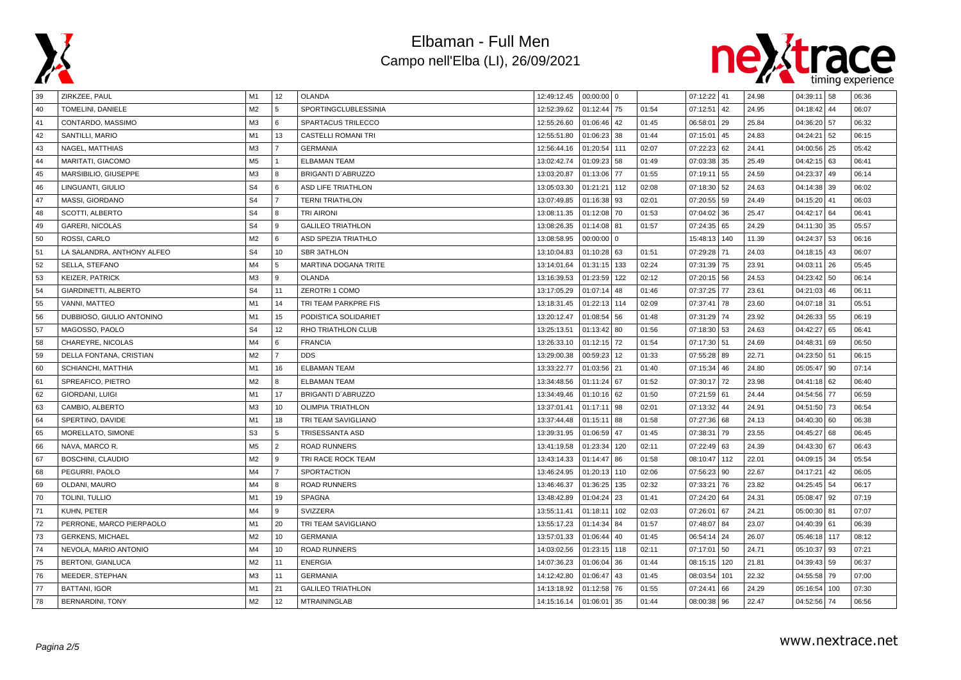



| 39 | ZIRKZEE, PAUL              | M1             | 12             | OLANDA                     | 12:49:12.45 | $00:00:00$ 0 |                 |       | 07:12:22 41 |     | 24.98 | $04:39:11$ 58 |     | 06:36 |
|----|----------------------------|----------------|----------------|----------------------------|-------------|--------------|-----------------|-------|-------------|-----|-------|---------------|-----|-------|
| 40 | TOMELINI, DANIELE          | M <sub>2</sub> | 5              | SPORTINGCLUBLESSINIA       | 12:52:39.62 | 01:12:44     | 75              | 01:54 | 07:12:51    | 42  | 24.95 | 04:18:42      | 44  | 06:07 |
| 41 | CONTARDO, MASSIMO          | M3             | 6              | SPARTACUS TRILECCO         | 12:55:26.60 | 01:06:46     | 42              | 01:45 | 06:58:01    | 29  | 25.84 | 04:36:20 57   |     | 06:32 |
| 42 | SANTILLI, MARIO            | M1             | 13             | <b>CASTELLI ROMANI TRI</b> | 12:55:51.80 | 01:06:23     | 38              | 01:44 | 07:15:01    | 45  | 24.83 | 04:24:21      | 52  | 06:15 |
| 43 | NAGEL, MATTHIAS            | M3             | $\overline{7}$ | <b>GERMANIA</b>            | 12:56:44.16 | 01:20:54     | 111             | 02:07 | 07:22:23    | 62  | 24.41 | 04:00:56 25   |     | 05:42 |
| 44 | MARITATI, GIACOMO          | M <sub>5</sub> | $\mathbf{1}$   | <b>ELBAMAN TEAM</b>        | 13:02:42.74 | 01:09:23     | 58              | 01:49 | 07:03:38    | 35  | 25.49 | $04:42:15$ 63 |     | 06:41 |
| 45 | MARSIBILIO, GIUSEPPE       | M <sub>3</sub> | 8              | BRIGANTI D'ABRUZZO         | 13:03:20.87 | 01:13:06     | 77              | 01:55 | 07:19:11    | 55  | 24.59 | 04:23:37 49   |     | 06:14 |
| 46 | LINGUANTI, GIULIO          | S <sub>4</sub> | 6              | <b>ASD LIFE TRIATHLON</b>  | 13:05:03.30 | 01:21:21     | 112             | 02:08 | 07:18:30    | 52  | 24.63 | $04:14:38$ 39 |     | 06:02 |
| 47 | MASSI, GIORDANO            | S <sub>4</sub> | $\overline{7}$ | <b>TERNI TRIATHLON</b>     | 13:07:49.85 | 01:16:38     | 93              | 02:01 | 07:20:55 59 |     | 24.49 | $04:15:20$ 41 |     | 06:03 |
| 48 | SCOTTI, ALBERTO            | S <sub>4</sub> | 8              | <b>TRI AIRONI</b>          | 13:08:11.35 | 01:12:08     | 70              | 01:53 | 07:04:02    | 36  | 25.47 | $04:42:17$ 64 |     | 06:41 |
| 49 | <b>GARERI, NICOLAS</b>     | S <sub>4</sub> | $\mathbf{Q}$   | <b>GALILEO TRIATHLON</b>   | 13:08:26.35 | 01:14:08     | 81              | 01:57 | 07:24:35    | 65  | 24.29 | 04:11:30 35   |     | 05:57 |
| 50 | ROSSI, CARLO               | M <sub>2</sub> | 6              | ASD SPEZIA TRIATHLO        | 13:08:58.95 | 00:00:00     | $\Omega$        |       | 15:48:13    | 140 | 11.39 | 04:24:37      | 53  | 06:16 |
| 51 | LA SALANDRA, ANTHONY ALFEO | S <sub>4</sub> | 10             | <b>SBR 3ATHLON</b>         | 13:10:04.83 | 01:10:28     | 63              | 01:51 | 07:29:28    | 71  | 24.03 | $04:18:15$ 43 |     | 06:07 |
| 52 | SELLA, STEFANO             | M4             | 5              | MARTINA DOGANA TRITE       | 13:14:01.64 | 01:31:15     | 133             | 02:24 | 07:31:39 75 |     | 23.91 | $04:03:11$ 26 |     | 05:45 |
| 53 | <b>KEIZER, PATRICK</b>     | M <sub>3</sub> | 9              | <b>OLANDA</b>              | 13:16:39.53 | 01:23:59     | 122             | 02:12 | 07:20:15 56 |     | 24.53 | $04:23:42$ 50 |     | 06:14 |
| 54 | GIARDINETTI, ALBERTO       | S <sub>4</sub> | 11             | ZEROTRI 1 COMO             | 13:17:05.29 | 01:07:14     | 48              | 01:46 | 07:37:25 77 |     | 23.61 | $04:21:03$ 46 |     | 06:11 |
| 55 | VANNI, MATTEO              | M1             | 14             | TRI TEAM PARKPRE FIS       | 13:18:31.45 | 01:22:13     | 114             | 02:09 | 07:37:41 78 |     | 23.60 | 04:07:18 31   |     | 05:51 |
| 56 | DUBBIOSO, GIULIO ANTONINO  | M1             | 15             | PODISTICA SOLIDARIET       | 13:20:12.47 | 01:08:54     | 56              | 01:48 | 07:31:29    | 74  | 23.92 | 04:26:33   55 |     | 06:19 |
| 57 | MAGOSSO, PAOLO             | S <sub>4</sub> | 12             | RHO TRIATHLON CLUB         | 13:25:13.51 | 01:13:42     | 80              | 01:56 | 07:18:30    | 53  | 24.63 | 04:42:27      | 65  | 06:41 |
| 58 | CHAREYRE, NICOLAS          | M <sub>4</sub> | 6              | <b>FRANCIA</b>             | 13:26:33.10 | 01:12:15     | 72              | 01:54 | 07:17:30    | 51  | 24.69 | 04:48:31      | 69  | 06:50 |
| 59 | DELLA FONTANA, CRISTIAN    | M <sub>2</sub> | $\overline{7}$ | <b>DDS</b>                 | 13:29:00.38 | 00:59:23     | 12 <sup>°</sup> | 01:33 | 07:55:28    | 89  | 22.71 | $04:23:50$ 51 |     | 06:15 |
| 60 | SCHIANCHI, MATTHIA         | M1             | 16             | <b>ELBAMAN TEAM</b>        | 13:33:22.77 | 01:03:56     | 21              | 01:40 | 07:15:34 46 |     | 24.80 | $05:05:47$ 90 |     | 07:14 |
| 61 | SPREAFICO, PIETRO          | M <sub>2</sub> | 8              | <b>ELBAMAN TEAM</b>        | 13:34:48.56 | 01:11:24     | 67              | 01:52 | 07:30:17 72 |     | 23.98 | $04:41:18$ 62 |     | 06:40 |
| 62 | GIORDANI, LUIGI            | M <sub>1</sub> | 17             | <b>BRIGANTI D'ABRUZZO</b>  | 13:34:49.46 | 01:10:16     | 62              | 01:50 | 07:21:59 61 |     | 24.44 | 04:54:56 77   |     | 06:59 |
| 63 | CAMBIO, ALBERTO            | M <sub>3</sub> | 10             | <b>OLIMPIA TRIATHLON</b>   | 13:37:01.41 | 01:17:11     | 98              | 02:01 | 07:13:32    | 44  | 24.91 | 04:51:50 73   |     | 06:54 |
| 64 | SPERTINO, DAVIDE           | M1             | 18             | TRI TEAM SAVIGLIANO        | 13:37:44.48 | 01:15:11     | 88              | 01:58 | 07:27:36 68 |     | 24.13 | $04:40:30$ 60 |     | 06:38 |
| 65 | MORELLATO, SIMONE          | S <sub>3</sub> | 5              | TRISESSANTA ASD            | 13:39:31.95 | 01:06:59     | 47              | 01:45 | 07:38:31    | 79  | 23.55 | 04:45:27      | 68  | 06:45 |
| 66 | NAVA, MARCO R.             | M <sub>5</sub> | 2              | <b>ROAD RUNNERS</b>        | 13:41:19.58 | 01:23:34     | 120             | 02:11 | 07:22:49    | 63  | 24.39 | 04:43:30 67   |     | 06:43 |
| 67 | BOSCHINI, CLAUDIO          | M <sub>2</sub> | 9              | TRI RACE ROCK TEAM         | 13:43:14.33 | 01:14:47     | 86              | 01:58 | 08:10:47    | 112 | 22.01 | 04:09:15 34   |     | 05:54 |
| 68 | PEGURRI, PAOLO             | M4             | $\overline{7}$ | <b>SPORTACTION</b>         | 13:46:24.95 | 01:20:13     | 110             | 02:06 | 07:56:23 90 |     | 22.67 | $04:17:21$ 42 |     | 06:05 |
| 69 | OLDANI, MAURO              | M4             | 8              | <b>ROAD RUNNERS</b>        | 13:46:46.37 | 01:36:25     | 135             | 02:32 | 07:33:21 76 |     | 23.82 | 04:25:45 54   |     | 06:17 |
| 70 | TOLINI, TULLIO             | M1             | 19             | SPAGNA                     | 13:48:42.89 | 01:04:24     | 23              | 01:41 | 07:24:20    | 64  | 24.31 | 05:08:47 92   |     | 07:19 |
| 71 | KUHN, PETER                | M4             | 9              | <b>SVIZZERA</b>            | 13:55:11.41 | 01:18:11     | 102             | 02:03 | 07:26:01 67 |     | 24.21 | 05:00:30   81 |     | 07:07 |
| 72 | PERRONE, MARCO PIERPAOLO   | M1             | 20             | TRI TEAM SAVIGLIANO        | 13:55:17.23 | 01:14:34     | 84              | 01:57 | 07:48:07 84 |     | 23.07 | $04:40:39$ 61 |     | 06:39 |
| 73 | <b>GERKENS, MICHAEL</b>    | M <sub>2</sub> | 10             | <b>GERMANIA</b>            | 13:57:01.33 | 01:06:44     | 40              | 01:45 | 06:54:14    | 24  | 26.07 | 05:46:18 117  |     | 08:12 |
| 74 | NEVOLA, MARIO ANTONIO      | M <sub>4</sub> | 10             | <b>ROAD RUNNERS</b>        | 14:03:02.56 | 01:23:15     | 118             | 02:11 | 07:17:01    | 50  | 24.71 | 05:10:37      | 93  | 07:21 |
| 75 | <b>BERTONI, GIANLUCA</b>   | M <sub>2</sub> | 11             | <b>ENERGIA</b>             | 14:07:36.23 | 01:06:04     | 36              | 01:44 | 08:15:15    | 120 | 21.81 | $04:39:43$ 59 |     | 06:37 |
| 76 | MEEDER, STEPHAN            | M <sub>3</sub> | 11             | <b>GERMANIA</b>            | 14:12:42.80 | 01:06:47     | 43              | 01:45 | 08:03:54    | 101 | 22.32 | 04:55:58 79   |     | 07:00 |
| 77 | <b>BATTANI, IGOR</b>       | M1             | 21             | <b>GALILEO TRIATHLON</b>   | 14:13:18.92 | 01:12:58     | 76              | 01:55 | 07:24:41    | 66  | 24.29 | 05:16:54      | 100 | 07:30 |
| 78 | <b>BERNARDINI, TONY</b>    | M <sub>2</sub> | 12             | <b>MTRAININGLAB</b>        | 14:15:16.14 | 01:06:01     | 35              | 01:44 | 08:00:38 96 |     | 22.47 | 04:52:56 74   |     | 06:56 |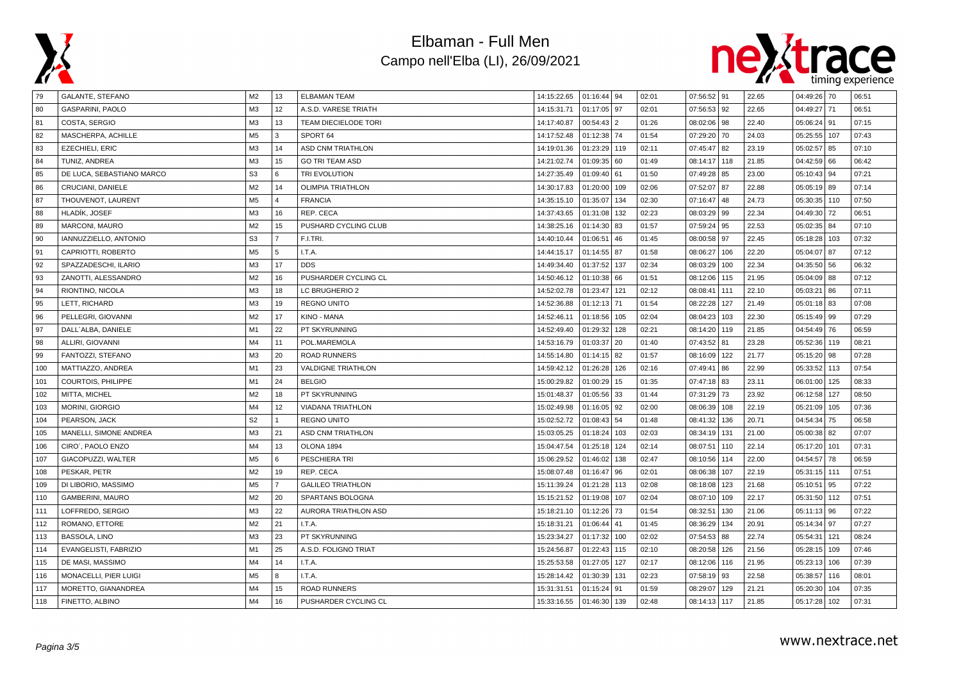



| 79  | GALANTE, STEFANO          | M <sub>2</sub> | 13             | <b>ELBAMAN TEAM</b>         | 14:15:22.65 | $01:16:44$ 94 |                | 02:01 | 07:56:52 91    |     | 22.65 | 04:49:26 70    |     | 06:51 |
|-----|---------------------------|----------------|----------------|-----------------------------|-------------|---------------|----------------|-------|----------------|-----|-------|----------------|-----|-------|
| 80  | GASPARINI, PAOLO          | M <sub>3</sub> | 12             | A.S.D. VARESE TRIATH        | 14:15:31.71 | 01:17:05 97   |                | 02:01 | 07:56:53<br>92 |     | 22.65 | 04:49:27 71    |     | 06:51 |
| 81  | COSTA, SERGIO             | M <sub>3</sub> | 13             | <b>TEAM DIECIELODE TORI</b> | 14:17:40.87 | 00:54:43      | $\overline{2}$ | 01:26 | 98<br>08:02:06 |     | 22.40 | 05:06:24 91    |     | 07:15 |
| 82  | MASCHERPA, ACHILLE        | M <sub>5</sub> | 3              | SPORT 64                    | 14:17:52.48 | 01:12:38      | 74             | 01:54 | 07:29:20<br>70 |     | 24.03 | 05:25:55       | 107 | 07:43 |
| 83  | EZECHIELI, ERIC           | M <sub>3</sub> | 14             | <b>ASD CNM TRIATHLON</b>    | 14:19:01.36 | 01:23:29      | 119            | 02:11 | 07:45:47 82    |     | 23.19 | 05:02:57 85    |     | 07:10 |
| 84  | TUNIZ, ANDREA             | M <sub>3</sub> | 15             | <b>GO TRI TEAM ASD</b>      | 14:21:02.74 | 01:09:35      | 60             | 01:49 | 08:14:17       | 118 | 21.85 | $04:42:59$ 66  |     | 06:42 |
| 85  | DE LUCA, SEBASTIANO MARCO | S <sub>3</sub> | 6              | TRI EVOLUTION               | 14:27:35.49 | 01:09:40      | 61             | 01:50 | 07:49:28<br>85 |     | 23.00 | 05:10:43   94  |     | 07:21 |
| 86  | CRUCIANI, DANIELE         | M <sub>2</sub> | 14             | <b>OLIMPIA TRIATHLON</b>    | 14:30:17.83 | 01:20:00      | 109            | 02:06 | 07:52:07<br>87 |     | 22.88 | 05:05:19 89    |     | 07:14 |
| 87  | THOUVENOT, LAURENT        | M <sub>5</sub> | $\overline{4}$ | <b>FRANCIA</b>              | 14:35:15.10 | 01:35:07      | 134            | 02:30 | 07:16:47<br>48 |     | 24.73 | 05:30:35   110 |     | 07:50 |
| 88  | HLADÍK, JOSEF             | M <sub>3</sub> | 16             | REP. CECA                   | 14:37:43.65 | 01:31:08      | 132            | 02:23 | 99<br>08:03:29 |     | 22.34 | 04:49:30       | 72  | 06:51 |
| 89  | MARCONI, MAURO            | M <sub>2</sub> | 15             | PUSHARD CYCLING CLUB        | 14:38:25.16 | 01:14:30      | 83             | 01:57 | 95<br>07:59:24 |     | 22.53 | 05:02:35 84    |     | 07:10 |
| 90  | IANNUZZIELLO, ANTONIO     | S <sub>3</sub> | $\overline{7}$ | F.I.TRI.                    | 14:40:10.44 | 01:06:51      | 46             | 01:45 | 08:00:58<br>97 |     | 22.45 | 05:18:28       | 103 | 07:32 |
| 91  | CAPRIOTTI, ROBERTO        | M <sub>5</sub> | 5              | I.T.A.                      | 14:44:15.17 | 01:14:55      | 87             | 01:58 | 08:06:27       | 106 | 22.20 | 05:04:07 87    |     | 07:12 |
| 92  | SPAZZADESCHI, ILARIO      | M <sub>3</sub> | 17             | <b>DDS</b>                  | 14:49:34.40 | 01:37:52      | 137            | 02:34 | 08:03:29       | 100 | 22.34 | 04:35:50 56    |     | 06:32 |
| 93  | ZANOTTI, ALESSANDRO       | M <sub>2</sub> | 16             | PUSHARDER CYCLING CL        | 14:50:46.12 | 01:10:38      | 66             | 01:51 | 08:12:06       | 115 | 21.95 | 05:04:09 88    |     | 07:12 |
| 94  | RIONTINO, NICOLA          | M <sub>3</sub> | 18             | LC BRUGHERIO 2              | 14:52:02.78 | 01:23:47      | 121            | 02:12 | 08:08:41       | 111 | 22.10 | 05:03:21       | 86  | 07:11 |
| 95  | LETT, RICHARD             | M <sub>3</sub> | 19             | <b>REGNO UNITO</b>          | 14:52:36.88 | 01:12:13      | 71             | 01:54 | 08:22:28       | 127 | 21.49 | $05:01:18$ 83  |     | 07:08 |
| 96  | PELLEGRI, GIOVANNI        | M <sub>2</sub> | 17             | KINO - MANA                 | 14:52:46.11 | 01:18:56      | 105            | 02:04 | 08:04:23       | 103 | 22.30 | 05:15:49   99  |     | 07:29 |
| 97  | DALL'ALBA, DANIELE        | M1             | 22             | PT SKYRUNNING               | 14:52:49.40 | 01:29:32      | 128            | 02:21 | 08:14:20       | 119 | 21.85 | 04:54:49 76    |     | 06:59 |
| 98  | ALLIRI, GIOVANNI          | M4             | 11             | POL.MAREMOLA                | 14:53:16.79 | 01:03:37      | 20             | 01:40 | 07:43:52<br>81 |     | 23.28 | 05:52:36       | 119 | 08:21 |
| 99  | FANTOZZI, STEFANO         | M <sub>3</sub> | 20             | <b>ROAD RUNNERS</b>         | 14:55:14.80 | 01:14:15      | 82             | 01:57 | 08:16:09       | 122 | 21.77 | 05:15:20 98    |     | 07:28 |
| 100 | MATTIAZZO, ANDREA         | M1             | 23             | <b>VALDIGNE TRIATHLON</b>   | 14:59:42.12 | 01:26:28      | 126            | 02:16 | 07:49:41<br>86 |     | 22.99 | 05:33:52 113   |     | 07:54 |
| 101 | COURTOIS, PHILIPPE        | M1             | 24             | <b>BELGIO</b>               | 15:00:29.82 | 01:00:29      | 15             | 01:35 | 07:47:18 83    |     | 23.11 | 06:01:00 125   |     | 08:33 |
| 102 | MITTA, MICHEL             | M <sub>2</sub> | 18             | PT SKYRUNNING               | 15:01:48.37 | 01:05:56      | 33             | 01:44 | 07:31:29<br>73 |     | 23.92 | 06:12:58       | 127 | 08:50 |
| 103 | <b>MORINI, GIORGIO</b>    | M4             | 12             | <b>VIADANA TRIATHLON</b>    | 15:02:49.98 | 01:16:05      | 92             | 02:00 | 08:06:39       | 108 | 22.19 | 05:21:09       | 105 | 07:36 |
| 104 | PEARSON, JACK             | S <sub>2</sub> |                | <b>REGNO UNITO</b>          | 15:02:52.72 | 01:08:43      | 54             | 01:48 | 08:41:32       | 136 | 20.71 | 04:54:34       | 75  | 06:58 |
| 105 | MANELLI, SIMONE ANDREA    | M <sub>3</sub> | 21             | <b>ASD CNM TRIATHLON</b>    | 15:03:05.25 | 01:18:24      | 103            | 02:03 | 08:34:19       | 131 | 21.00 | 05:00:38       | 82  | 07:07 |
| 106 | CIRO', PAOLO ENZO         | M4             | 13             | OLONA 1894                  | 15:04:47.54 | 01:25:18      | 124            | 02:14 | 08:07:51       | 110 | 22.14 | 05:17:20       | 101 | 07:31 |
| 107 | GIACOPUZZI, WALTER        | M <sub>5</sub> | 6              | PESCHIERA TRI               | 15:06:29.52 | 01:46:02      | 138            | 02:47 | 08:10:56       | 114 | 22.00 | 04:54:57       | 78  | 06:59 |
| 108 | PESKAR, PETR              | M <sub>2</sub> | 19             | REP. CECA                   | 15:08:07.48 | 01:16:47      | 96             | 02:01 | 08:06:38       | 107 | 22.19 | 05:31:15 111   |     | 07:51 |
| 109 | DI LIBORIO, MASSIMO       | M <sub>5</sub> | $\overline{7}$ | <b>GALILEO TRIATHLON</b>    | 15:11:39.24 | 01:21:28      | 113            | 02:08 | 08:18:08       | 123 | 21.68 | 05:10:51   95  |     | 07:22 |
| 110 | <b>GAMBERINI, MAURO</b>   | M <sub>2</sub> | 20             | SPARTANS BOLOGNA            | 15:15:21.52 | 01:19:08      | 107            | 02:04 | 08:07:10       | 109 | 22.17 | 05:31:50 112   |     | 07:51 |
| 111 | LOFFREDO, SERGIO          | M <sub>3</sub> | 22             | AURORA TRIATHLON ASD        | 15:18:21.10 | 01:12:26      | 73             | 01:54 | 08:32:51       | 130 | 21.06 | $05:11:13$ 96  |     | 07:22 |
| 112 | ROMANO, ETTORE            | M <sub>2</sub> | 21             | I.T.A.                      | 15:18:31.21 | 01:06:44      | 41             | 01:45 | 08:36:29       | 134 | 20.91 | 05:14:34 97    |     | 07:27 |
| 113 | <b>BASSOLA, LINO</b>      | M <sub>3</sub> | 23             | PT SKYRUNNING               | 15:23:34.27 | 01:17:32      | 100            | 02:02 | 07:54:53       | 88  | 22.74 | 05:54:31       | 121 | 08:24 |
| 114 | EVANGELISTI, FABRIZIO     | M1             | 25             | A.S.D. FOLIGNO TRIAT        | 15:24:56.87 | 01:22:43      | 115            | 02:10 | 08:20:58       | 126 | 21.56 | 05:28:15       | 109 | 07:46 |
| 115 | DE MASI, MASSIMO          | M4             | 14             | I.T.A.                      | 15:25:53.58 | 01:27:05      | 127            | 02:17 | 08:12:06       | 116 | 21.95 | 05:23:13       | 106 | 07:39 |
| 116 | MONACELLI, PIER LUIGI     | M <sub>5</sub> | 8              | I.T.A.                      | 15:28:14.42 | 01:30:39      | 131            | 02:23 | 07:58:19<br>93 |     | 22.58 | 05:38:57   116 |     | 08:01 |
| 117 | MORETTO, GIANANDREA       | M4             | 15             | <b>ROAD RUNNERS</b>         | 15:31:31.51 | 01:15:24      | 91             | 01:59 | 08:29:07       | 129 | 21.21 | 05:20:30       | 104 | 07:35 |
| 118 | FINETTO, ALBINO           | M4             | 16             | PUSHARDER CYCLING CL        | 15:33:16.55 | 01:46:30      | 139            | 02:48 | 08:14:13       | 117 | 21.85 | 05:17:28 102   |     | 07:31 |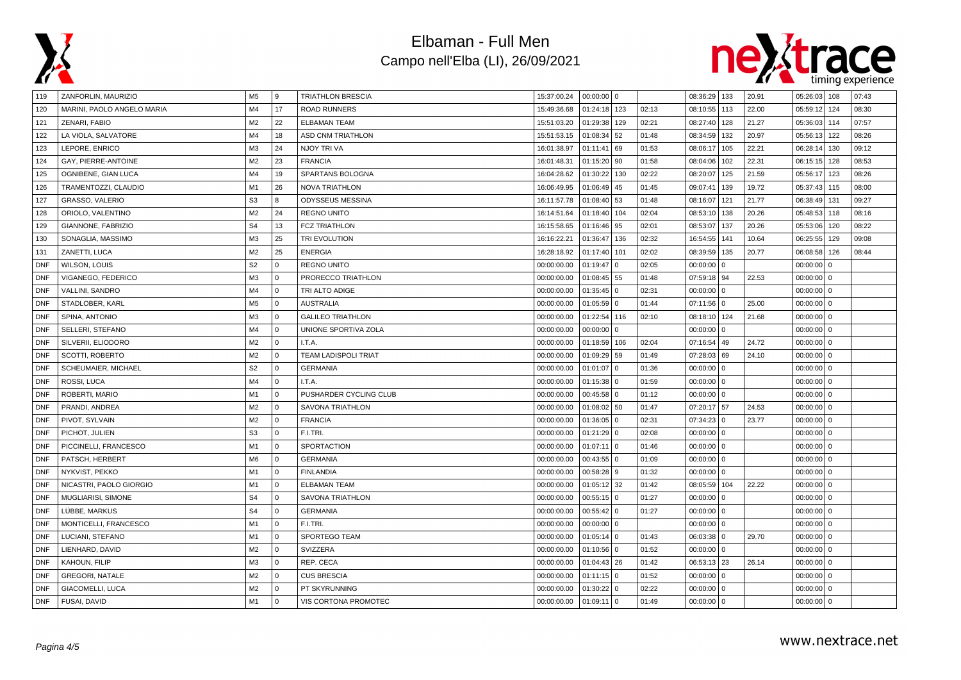



| 119        | ZANFORLIN, MAURIZIO        | M5             | 9            | TRIATHLON BRESCIA           | 15:37:00.24 | $00:00:00$ 0  |                |       | 08:36:29 133 |          | 20.91 | 05:26:03     | 108          | 07:43 |
|------------|----------------------------|----------------|--------------|-----------------------------|-------------|---------------|----------------|-------|--------------|----------|-------|--------------|--------------|-------|
| 120        | MARINI, PAOLO ANGELO MARIA | M <sub>4</sub> | 17           | <b>ROAD RUNNERS</b>         | 15:49:36.68 | 01:24:18      | 123            | 02:13 | 08:10:55     | 113      | 22.00 | 05:59:12     | 124          | 08:30 |
| 121        | ZENARI, FABIO              | M <sub>2</sub> | 22           | <b>ELBAMAN TEAM</b>         | 15:51:03.20 | 01:29:38      | 129            | 02:21 | 08:27:40     | 128      | 21.27 | 05:36:03     | 114          | 07:57 |
| 122        | LA VIOLA, SALVATORE        | M <sub>4</sub> | 18           | ASD CNM TRIATHLON           | 15:51:53.15 | 01:08:34      | 52             | 01:48 | 08:34:59     | 132      | 20.97 | 05:56:13     | 122          | 08:26 |
| 123        | LEPORE, ENRICO             | M <sub>3</sub> | 24           | NJOY TRI VA                 | 16:01:38.97 | 01:11:41      | 69             | 01:53 | 08:06:17     | 105      | 22.21 | 06:28:14     | 130          | 09:12 |
| 124        | GAY, PIERRE-ANTOINE        | M <sub>2</sub> | 23           | <b>FRANCIA</b>              | 16:01:48.31 | 01:15:20      | 90             | 01:58 | 08:04:06     | 102      | 22.31 | 06:15:15     | 128          | 08:53 |
| 125        | OGNIBENE, GIAN LUCA        | M <sub>4</sub> | 19           | SPARTANS BOLOGNA            | 16:04:28.62 | 01:30:22      | 130            | 02:22 | 08:20:07     | 125      | 21.59 | 05:56:17     | 123          | 08:26 |
| 126        | TRAMENTOZZI, CLAUDIO       | M1             | 26           | <b>NOVA TRIATHLON</b>       | 16:06:49.95 | 01:06:49      | 45             | 01:45 | 09:07:41     | 139      | 19.72 | 05:37:43     | 115          | 08:00 |
| 127        | GRASSO, VALERIO            | S <sub>3</sub> | 8            | ODYSSEUS MESSINA            | 16:11:57.78 | 01:08:40      | 53             | 01:48 | 08:16:07     | 121      | 21.77 | 06:38:49     | 131          | 09:27 |
| 128        | ORIOLO, VALENTINO          | M <sub>2</sub> | 24           | <b>REGNO UNITO</b>          | 16:14:51.64 | 01:18:40      | 104            | 02:04 | 08:53:10     | 138      | 20.26 | 05:48:53     | 118          | 08:16 |
| 129        | GIANNONE, FABRIZIO         | S <sub>4</sub> | 13           | <b>FCZ TRIATHLON</b>        | 16:15:58.65 | 01:16:46      | 95             | 02:01 | 08:53:07     | 137      | 20.26 | 05:53:06     | 120          | 08:22 |
| 130        | SONAGLIA, MASSIMO          | M <sub>3</sub> | 25           | TRI EVOLUTION               | 16:16:22.21 | 01:36:47      | 136            | 02:32 | 16:54:55     | 141      | 10.64 | 06:25:55     | 129          | 09:08 |
| 131        | ZANETTI, LUCA              | M <sub>2</sub> | 25           | <b>ENERGIA</b>              | 16:28:18.92 | 01:17:40      | 101            | 02:02 | 08:39:59     | 135      | 20.77 | 06:08:58     | 126          | 08:44 |
| <b>DNF</b> | WILSON, LOUIS              | S <sub>2</sub> | $\mathbf 0$  | <b>REGNO UNITO</b>          | 00:00:00.00 | 01:19:47      | $\mathbf{0}$   | 02:05 | $00:00:00$ 0 |          |       | 00:00:00     | $\mathbf 0$  |       |
| <b>DNF</b> | VIGANEGO, FEDERICO         | M <sub>3</sub> | $\mathbf 0$  | PRORECCO TRIATHLON          | 00:00:00.00 | 01:08:45      | 55             | 01:48 | 07:59:18 94  |          | 22.53 | $00:00:00$ 0 |              |       |
| <b>DNF</b> | VALLINI, SANDRO            | M <sub>4</sub> | $\mathbf 0$  | TRI ALTO ADIGE              | 00:00:00.00 | 01:35:45      | $\Omega$       | 02:31 | $00:00:00$ 0 |          |       | 00:00:00     | $\mathbf 0$  |       |
| <b>DNF</b> | STADLOBER, KARL            | M <sub>5</sub> | $\mathbf{0}$ | <b>AUSTRALIA</b>            | 00:00:00.00 | 01:05:59      | $\Omega$       | 01:44 | 07:11:56 0   |          | 25.00 | $00:00:00$ 0 |              |       |
| <b>DNF</b> | SPINA, ANTONIO             | M <sub>3</sub> | $\mathbf 0$  | <b>GALILEO TRIATHLON</b>    | 00:00:00.00 | 01:22:54      | 116            | 02:10 | 08:18:10 124 |          | 21.68 | $00:00:00$ 0 |              |       |
| <b>DNF</b> | SELLERI, STEFANO           | M <sub>4</sub> | $\mathbf 0$  | UNIONE SPORTIVA ZOLA        | 00:00:00.00 | 00:00:00      | $\Omega$       |       | 00:00:00     | $\Omega$ |       | $00:00:00$ 0 |              |       |
| <b>DNF</b> | SILVERII, ELIODORO         | M <sub>2</sub> | $\mathbf 0$  | I.T.A.                      | 00:00:00.00 | 01:18:59      | 106            | 02:04 | 07:16:54     | 49       | 24.72 | 00:00:00     | $\mathbf{0}$ |       |
| <b>DNF</b> | SCOTTI, ROBERTO            | M <sub>2</sub> | $\Omega$     | <b>TEAM LADISPOLI TRIAT</b> | 00:00:00.00 | 01:09:29      | 59             | 01:49 | 07:28:03 69  |          | 24.10 | $00:00:00$ 0 |              |       |
| <b>DNF</b> | SCHEUMAIER, MICHAEL        | S <sub>2</sub> | $\mathbf{0}$ | <b>GERMANIA</b>             | 00:00:00.00 | 01:01:07      | $\overline{0}$ | 01:36 | $00:00:00$ 0 |          |       | $00:00:00$ 0 |              |       |
| <b>DNF</b> | ROSSI, LUCA                | M <sub>4</sub> | $\mathbf 0$  | I.T.A.                      | 00:00:00.00 | 01:15:38      | $\overline{0}$ | 01:59 | $00:00:00$ 0 |          |       | $00:00:00$ 0 |              |       |
| <b>DNF</b> | ROBERTI, MARIO             | M1             | $\mathbf 0$  | PUSHARDER CYCLING CLUB      | 00:00:00.00 | 00:45:58      | $\Omega$       | 01:12 | $00:00:00$ 0 |          |       | $00:00:00$ 0 |              |       |
| <b>DNF</b> | PRANDI, ANDREA             | M <sub>2</sub> | $\mathbf 0$  | <b>SAVONA TRIATHLON</b>     | 00:00:00.00 | 01:08:02      | 50             | 01:47 | 07:20:17 57  |          | 24.53 | $00:00:00$ 0 |              |       |
| <b>DNF</b> | PIVOT, SYLVAIN             | M <sub>2</sub> | $\mathbf{0}$ | <b>FRANCIA</b>              | 00:00:00.00 | $01:36:05$ 0  |                | 02:31 | 07:34:23 0   |          | 23.77 | $00:00:00$ 0 |              |       |
| <b>DNF</b> | PICHOT, JULIEN             | S <sub>3</sub> | $\mathbf 0$  | F.I.TRI.                    | 00:00:00.00 | $01:21:29$ 0  |                | 02:08 | $00:00:00$ 0 |          |       | $00:00:00$ 0 |              |       |
| <b>DNF</b> | PICCINELLI, FRANCESCO      | M1             | $\Omega$     | <b>SPORTACTION</b>          | 00:00:00.00 | 01:07:11      | $\overline{0}$ | 01:46 | $00:00:00$ 0 |          |       | 00:00:00     | $\mathbf 0$  |       |
| <b>DNF</b> | PATSCH, HERBERT            | M <sub>6</sub> | $\mathbf 0$  | <b>GERMANIA</b>             | 00:00:00.00 | 00:43:55      | $\overline{0}$ | 01:09 | $00:00:00$ 0 |          |       | $00:00:00$ 0 |              |       |
| <b>DNF</b> | NYKVIST, PEKKO             | M1             | $\mathbf 0$  | <b>FINLANDIA</b>            | 00:00:00.00 | 00:58:28      | 9              | 01:32 | $00:00:00$ 0 |          |       | $00:00:00$ 0 |              |       |
| <b>DNF</b> | NICASTRI, PAOLO GIORGIO    | M1             | 0            | <b>ELBAMAN TEAM</b>         | 00:00:00.00 | $01:05:12$ 32 |                | 01:42 | 08:05:59 104 |          | 22.22 | $00:00:00$ 0 |              |       |
| <b>DNF</b> | MUGLIARISI, SIMONE         | S <sub>4</sub> | $\mathbf 0$  | <b>SAVONA TRIATHLON</b>     | 00:00:00.00 | 00:55:15      | $\overline{0}$ | 01:27 | $00:00:00$ 0 |          |       | $00:00:00$ 0 |              |       |
| <b>DNF</b> | LÜBBE, MARKUS              | S <sub>4</sub> | $\mathbf 0$  | <b>GERMANIA</b>             | 00:00:00.00 | 00:55:42      | $\Omega$       | 01:27 | $00:00:00$ 0 |          |       | $00:00:00$ 0 |              |       |
| <b>DNF</b> | MONTICELLI, FRANCESCO      | M1             | $\Omega$     | F.I.TRI.                    | 00:00:00.00 | 00:00:00      | I٥             |       | $00:00:00$ 0 |          |       | $00:00:00$ 0 |              |       |
| <b>DNF</b> | LUCIANI, STEFANO           | M1             | $\mathbf 0$  | SPORTEGO TEAM               | 00:00:00.00 | 01:05:14      | $\overline{0}$ | 01:43 | 06:03:38 0   |          | 29.70 | $00:00:00$ 0 |              |       |
| <b>DNF</b> | LIENHARD, DAVID            | M <sub>2</sub> | $\mathbf 0$  | SVIZZERA                    | 00:00:00.00 | 01:10:56      | $\overline{0}$ | 01:52 | $00:00:00$ 0 |          |       | 00:00:00     | $\mathbf 0$  |       |
| <b>DNF</b> | KAHOUN, FILIP              | M <sub>3</sub> | $\mathbf 0$  | REP. CECA                   | 00:00:00.00 | 01:04:43      | 26             | 01:42 | 06:53:13 23  |          | 26.14 | 00:00:00     | $\mathbf{0}$ |       |
| <b>DNF</b> | <b>GREGORI, NATALE</b>     | M <sub>2</sub> | $\Omega$     | <b>CUS BRESCIA</b>          | 00:00:00.00 | $01:11:15$ 0  |                | 01:52 | $00:00:00$ 0 |          |       | $00:00:00$ 0 |              |       |
| <b>DNF</b> | GIACOMELLI, LUCA           | M <sub>2</sub> | $\mathbf 0$  | PT SKYRUNNING               | 00:00:00.00 | 01:30:22      | $\Omega$       | 02:22 | $00:00:00$ 0 |          |       | $00:00:00$ 0 |              |       |
| <b>DNF</b> | <b>FUSAI, DAVID</b>        | M1             | $\Omega$     | VIS CORTONA PROMOTEC        | 00:00:00.00 | $01:09:11$ 0  |                | 01:49 | $00:00:00$ 0 |          |       | $00:00:00$ 0 |              |       |